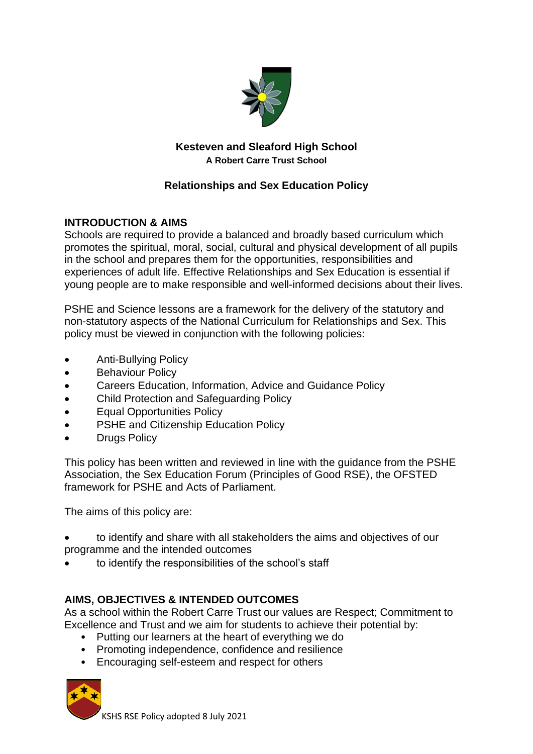

# **Kesteven and Sleaford High School A Robert Carre Trust School**

# **Relationships and Sex Education Policy**

## **INTRODUCTION & AIMS**

Schools are required to provide a balanced and broadly based curriculum which promotes the spiritual, moral, social, cultural and physical development of all pupils in the school and prepares them for the opportunities, responsibilities and experiences of adult life. Effective Relationships and Sex Education is essential if young people are to make responsible and well-informed decisions about their lives.

PSHE and Science lessons are a framework for the delivery of the statutory and non-statutory aspects of the National Curriculum for Relationships and Sex. This policy must be viewed in conjunction with the following policies:

- Anti-Bullying Policy
- Behaviour Policy
- Careers Education, Information, Advice and Guidance Policy
- Child Protection and Safeguarding Policy
- Equal Opportunities Policy
- PSHE and Citizenship Education Policy
- **Drugs Policy**

This policy has been written and reviewed in line with the guidance from the PSHE Association, the Sex Education Forum (Principles of Good RSE), the OFSTED framework for PSHE and Acts of Parliament.

The aims of this policy are:

- to identify and share with all stakeholders the aims and objectives of our programme and the intended outcomes
- to identify the responsibilities of the school's staff

### **AIMS, OBJECTIVES & INTENDED OUTCOMES**

As a school within the Robert Carre Trust our values are Respect; Commitment to Excellence and Trust and we aim for students to achieve their potential by:

- Putting our learners at the heart of everything we do
- Promoting independence, confidence and resilience
- Encouraging self-esteem and respect for others



KSHS RSE Policy adopted 8 July 2021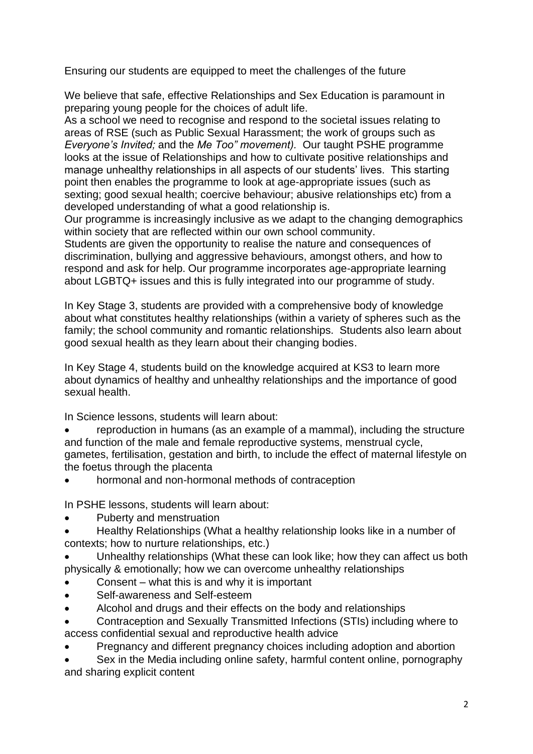Ensuring our students are equipped to meet the challenges of the future

We believe that safe, effective Relationships and Sex Education is paramount in preparing young people for the choices of adult life.

As a school we need to recognise and respond to the societal issues relating to areas of RSE (such as Public Sexual Harassment; the work of groups such as *Everyone's Invited;* and the *Me Too" movement).* Our taught PSHE programme looks at the issue of Relationships and how to cultivate positive relationships and manage unhealthy relationships in all aspects of our students' lives. This starting point then enables the programme to look at age-appropriate issues (such as sexting; good sexual health; coercive behaviour; abusive relationships etc) from a developed understanding of what a good relationship is.

Our programme is increasingly inclusive as we adapt to the changing demographics within society that are reflected within our own school community.

Students are given the opportunity to realise the nature and consequences of discrimination, bullying and aggressive behaviours, amongst others, and how to respond and ask for help. Our programme incorporates age-appropriate learning about LGBTQ+ issues and this is fully integrated into our programme of study.

In Key Stage 3, students are provided with a comprehensive body of knowledge about what constitutes healthy relationships (within a variety of spheres such as the family; the school community and romantic relationships. Students also learn about good sexual health as they learn about their changing bodies.

In Key Stage 4, students build on the knowledge acquired at KS3 to learn more about dynamics of healthy and unhealthy relationships and the importance of good sexual health.

In Science lessons, students will learn about:

- reproduction in humans (as an example of a mammal), including the structure and function of the male and female reproductive systems, menstrual cycle, gametes, fertilisation, gestation and birth, to include the effect of maternal lifestyle on the foetus through the placenta
- hormonal and non-hormonal methods of contraception

In PSHE lessons, students will learn about:

- Puberty and menstruation
- Healthy Relationships (What a healthy relationship looks like in a number of contexts; how to nurture relationships, etc.)
- Unhealthy relationships (What these can look like; how they can affect us both physically & emotionally; how we can overcome unhealthy relationships
- Consent what this is and why it is important
- Self-awareness and Self-esteem
- Alcohol and drugs and their effects on the body and relationships
- Contraception and Sexually Transmitted Infections (STIs) including where to access confidential sexual and reproductive health advice
- Pregnancy and different pregnancy choices including adoption and abortion

• Sex in the Media including online safety, harmful content online, pornography and sharing explicit content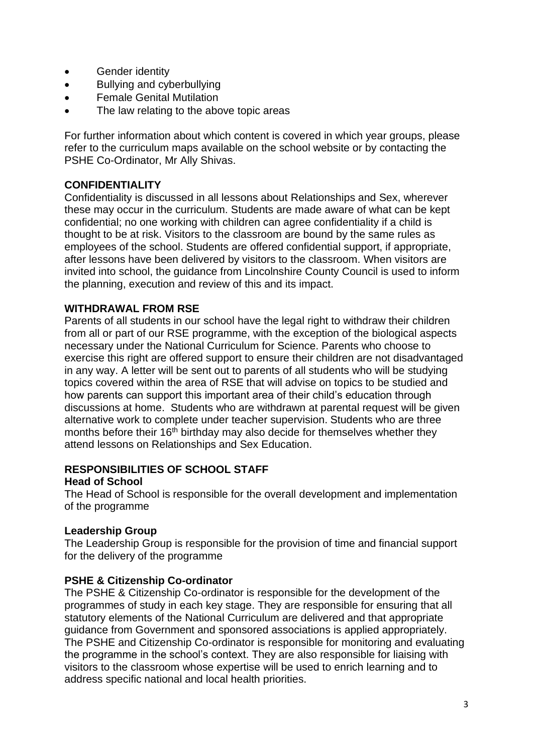- Gender identity
- Bullying and cyberbullying
- Female Genital Mutilation
- The law relating to the above topic areas

For further information about which content is covered in which year groups, please refer to the curriculum maps available on the school website or by contacting the PSHE Co-Ordinator, Mr Ally Shivas.

### **CONFIDENTIALITY**

Confidentiality is discussed in all lessons about Relationships and Sex, wherever these may occur in the curriculum. Students are made aware of what can be kept confidential; no one working with children can agree confidentiality if a child is thought to be at risk. Visitors to the classroom are bound by the same rules as employees of the school. Students are offered confidential support, if appropriate, after lessons have been delivered by visitors to the classroom. When visitors are invited into school, the guidance from Lincolnshire County Council is used to inform the planning, execution and review of this and its impact.

#### **WITHDRAWAL FROM RSE**

Parents of all students in our school have the legal right to withdraw their children from all or part of our RSE programme, with the exception of the biological aspects necessary under the National Curriculum for Science. Parents who choose to exercise this right are offered support to ensure their children are not disadvantaged in any way. A letter will be sent out to parents of all students who will be studying topics covered within the area of RSE that will advise on topics to be studied and how parents can support this important area of their child's education through discussions at home. Students who are withdrawn at parental request will be given alternative work to complete under teacher supervision. Students who are three months before their 16<sup>th</sup> birthday may also decide for themselves whether they attend lessons on Relationships and Sex Education.

#### **RESPONSIBILITIES OF SCHOOL STAFF Head of School**

The Head of School is responsible for the overall development and implementation of the programme

#### **Leadership Group**

The Leadership Group is responsible for the provision of time and financial support for the delivery of the programme

#### **PSHE & Citizenship Co-ordinator**

The PSHE & Citizenship Co-ordinator is responsible for the development of the programmes of study in each key stage. They are responsible for ensuring that all statutory elements of the National Curriculum are delivered and that appropriate guidance from Government and sponsored associations is applied appropriately. The PSHE and Citizenship Co-ordinator is responsible for monitoring and evaluating the programme in the school's context. They are also responsible for liaising with visitors to the classroom whose expertise will be used to enrich learning and to address specific national and local health priorities.